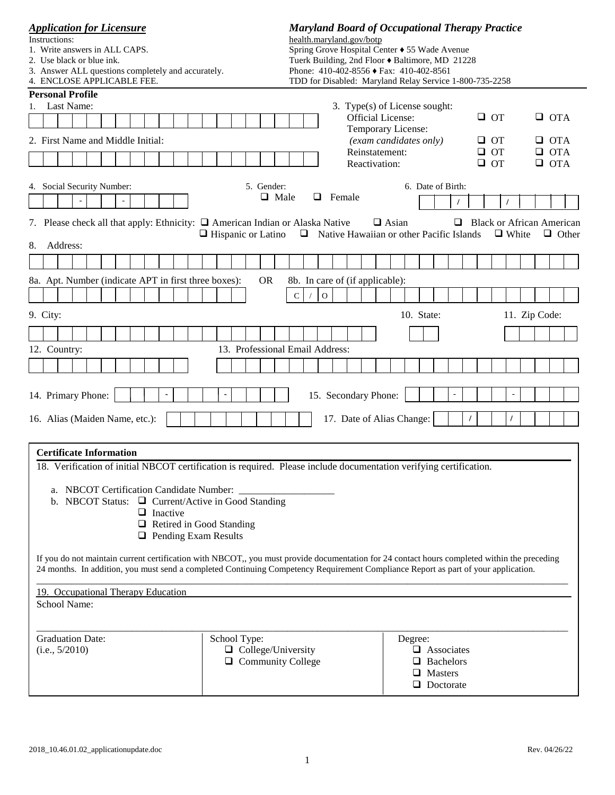| <b>Application for Licensure</b><br>Instructions:                                                   |                                                                                                                                              | <b>Maryland Board of Occupational Therapy Practice</b>                          |  |  |
|-----------------------------------------------------------------------------------------------------|----------------------------------------------------------------------------------------------------------------------------------------------|---------------------------------------------------------------------------------|--|--|
| 1. Write answers in ALL CAPS.                                                                       | health.maryland.gov/botp<br>Spring Grove Hospital Center 55 Wade Avenue                                                                      |                                                                                 |  |  |
| 2. Use black or blue ink.                                                                           | Tuerk Building, 2nd Floor Baltimore, MD 21228                                                                                                |                                                                                 |  |  |
| 3. Answer ALL questions completely and accurately.<br>4. ENCLOSE APPLICABLE FEE.                    | Phone: 410-402-8556 Fax: 410-402-8561                                                                                                        | TDD for Disabled: Maryland Relay Service 1-800-735-2258                         |  |  |
| <b>Personal Profile</b>                                                                             |                                                                                                                                              |                                                                                 |  |  |
| Last Name:<br>1.                                                                                    |                                                                                                                                              | 3. Type(s) of License sought:                                                   |  |  |
|                                                                                                     | <b>Official License:</b>                                                                                                                     | $\Box$ OT<br>$\Box$ OTA<br>Temporary License:                                   |  |  |
| 2. First Name and Middle Initial:                                                                   |                                                                                                                                              | (exam candidates only)<br>$\Box$ OT<br>$\Box$ OTA                               |  |  |
|                                                                                                     | Reinstatement:                                                                                                                               | $\Box$ OT<br>$\Box$ OTA                                                         |  |  |
|                                                                                                     | Reactivation:                                                                                                                                | $\Box$ OTA<br>$\Box$ OT                                                         |  |  |
| 4. Social Security Number:                                                                          | 5. Gender:                                                                                                                                   | 6. Date of Birth:                                                               |  |  |
|                                                                                                     | $\Box$ Male<br>$\Box$ Female                                                                                                                 |                                                                                 |  |  |
|                                                                                                     |                                                                                                                                              |                                                                                 |  |  |
| 7. Please check all that apply: Ethnicity: $\Box$ American Indian or Alaska Native                  |                                                                                                                                              | $\Box$ Asian<br>$\Box$ Black or African American                                |  |  |
|                                                                                                     | $\Box$ Hispanic or Latino                                                                                                                    | $\Box$ Native Hawaiian or other Pacific Islands<br>$\Box$ White<br>$\Box$ Other |  |  |
| Address:<br>8.                                                                                      |                                                                                                                                              |                                                                                 |  |  |
|                                                                                                     |                                                                                                                                              |                                                                                 |  |  |
| 8a. Apt. Number (indicate APT in first three boxes):                                                | <b>OR</b><br>8b. In care of (if applicable):                                                                                                 |                                                                                 |  |  |
|                                                                                                     | $\mathbf{O}$<br>$\mathbf C$                                                                                                                  |                                                                                 |  |  |
| 9. City:                                                                                            |                                                                                                                                              | 10. State:<br>11. Zip Code:                                                     |  |  |
|                                                                                                     |                                                                                                                                              |                                                                                 |  |  |
| 12. Country:                                                                                        | 13. Professional Email Address:                                                                                                              |                                                                                 |  |  |
|                                                                                                     |                                                                                                                                              |                                                                                 |  |  |
|                                                                                                     |                                                                                                                                              |                                                                                 |  |  |
| 14. Primary Phone:                                                                                  | 15. Secondary Phone:<br>$\overline{\phantom{a}}$                                                                                             | $\blacksquare$                                                                  |  |  |
| 16. Alias (Maiden Name, etc.):                                                                      | 17. Date of Alias Change:                                                                                                                    |                                                                                 |  |  |
|                                                                                                     |                                                                                                                                              |                                                                                 |  |  |
| <b>Certificate Information</b>                                                                      |                                                                                                                                              |                                                                                 |  |  |
|                                                                                                     | 18. Verification of initial NBCOT certification is required. Please include documentation verifying certification.                           |                                                                                 |  |  |
|                                                                                                     |                                                                                                                                              |                                                                                 |  |  |
| a. NBCOT Certification Candidate Number:<br>b. NBCOT Status: $\Box$ Current/Active in Good Standing |                                                                                                                                              |                                                                                 |  |  |
| $\Box$ Inactive                                                                                     |                                                                                                                                              |                                                                                 |  |  |
| $\Box$ Retired in Good Standing                                                                     |                                                                                                                                              |                                                                                 |  |  |
| $\Box$ Pending Exam Results                                                                         |                                                                                                                                              |                                                                                 |  |  |
|                                                                                                     | If you do not maintain current certification with NBCOT,, you must provide documentation for 24 contact hours completed within the preceding |                                                                                 |  |  |
|                                                                                                     | 24 months. In addition, you must send a completed Continuing Competency Requirement Compliance Report as part of your application.           |                                                                                 |  |  |
| 19. Occupational Therapy Education                                                                  |                                                                                                                                              |                                                                                 |  |  |
| School Name:                                                                                        |                                                                                                                                              |                                                                                 |  |  |
|                                                                                                     |                                                                                                                                              |                                                                                 |  |  |
| <b>Graduation Date:</b>                                                                             | School Type:                                                                                                                                 | Degree:                                                                         |  |  |
| (i.e., 5/2010)                                                                                      | $\Box$ College/University                                                                                                                    | $\Box$ Associates                                                               |  |  |
|                                                                                                     | $\Box$ Community College                                                                                                                     | $\Box$ Bachelors<br>$\Box$ Masters                                              |  |  |
|                                                                                                     |                                                                                                                                              | $\Box$ Doctorate                                                                |  |  |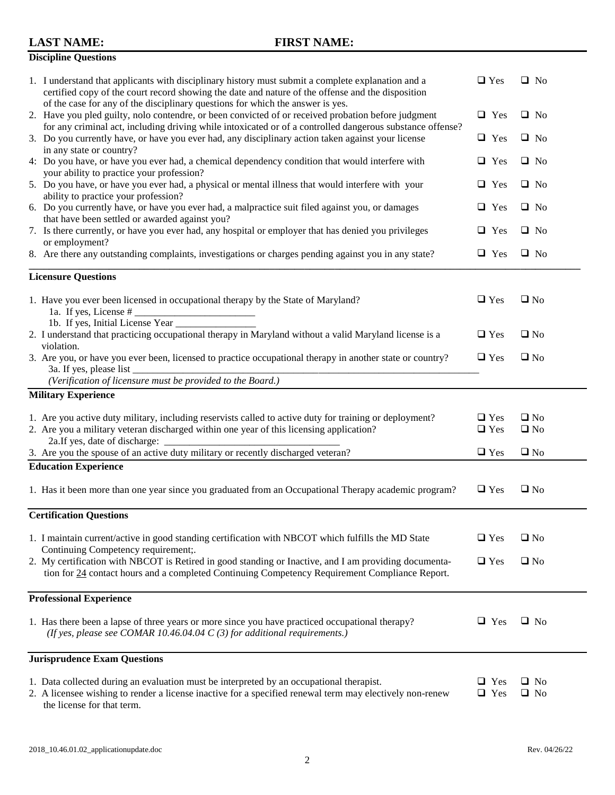## **LAST NAME: FIRST NAME:**

## **Discipline Questions**

| 1. I understand that applicants with disciplinary history must submit a complete explanation and a<br>certified copy of the court record showing the date and nature of the offense and the disposition<br>of the case for any of the disciplinary questions for which the answer is yes. | $\Box$ Yes               | $\Box$ No                    |
|-------------------------------------------------------------------------------------------------------------------------------------------------------------------------------------------------------------------------------------------------------------------------------------------|--------------------------|------------------------------|
| 2. Have you pled guilty, nolo contendre, or been convicted of or received probation before judgment<br>for any criminal act, including driving while intoxicated or of a controlled dangerous substance offense?                                                                          | $\Box$ Yes               | $\Box$ No                    |
| 3. Do you currently have, or have you ever had, any disciplinary action taken against your license<br>in any state or country?                                                                                                                                                            | $\Box$ Yes               | $\Box$ No                    |
| 4: Do you have, or have you ever had, a chemical dependency condition that would interfere with<br>your ability to practice your profession?                                                                                                                                              | $\Box$<br>Yes            | $\Box$ No                    |
| 5. Do you have, or have you ever had, a physical or mental illness that would interfere with your<br>ability to practice your profession?                                                                                                                                                 | $\Box$ Yes               | $\Box$ No                    |
| 6. Do you currently have, or have you ever had, a malpractice suit filed against you, or damages<br>that have been settled or awarded against you?                                                                                                                                        | $\Box$ Yes               | $\Box$ No                    |
| 7. Is there currently, or have you ever had, any hospital or employer that has denied you privileges<br>or employment?                                                                                                                                                                    | $\Box$ Yes               | $\Box$ No                    |
| 8. Are there any outstanding complaints, investigations or charges pending against you in any state?                                                                                                                                                                                      | $\Box$ Yes               | $\Box$ No                    |
| <b>Licensure Questions</b>                                                                                                                                                                                                                                                                |                          |                              |
| 1. Have you ever been licensed in occupational therapy by the State of Maryland?<br>1a. If yes, License $#$ _____<br>1b. If yes, Initial License Year                                                                                                                                     | $\Box$ Yes               | $\square$ No                 |
| 2. I understand that practicing occupational therapy in Maryland without a valid Maryland license is a<br>violation.                                                                                                                                                                      | $\Box$ Yes               | $\square$ No                 |
| 3. Are you, or have you ever been, licensed to practice occupational therapy in another state or country?<br>3a. If yes, please list _                                                                                                                                                    | $\Box$ Yes               | $\square$ No                 |
| (Verification of licensure must be provided to the Board.)<br><b>Military Experience</b>                                                                                                                                                                                                  |                          |                              |
|                                                                                                                                                                                                                                                                                           |                          |                              |
| 1. Are you active duty military, including reservists called to active duty for training or deployment?<br>2. Are you a military veteran discharged within one year of this licensing application?<br>2a.If yes, date of discharge:                                                       | $\Box$ Yes<br>$\Box$ Yes | $\square$ No<br>$\square$ No |
| 3. Are you the spouse of an active duty military or recently discharged veteran?                                                                                                                                                                                                          | $\Box$ Yes               | $\square$ No                 |
| <b>Education Experience</b>                                                                                                                                                                                                                                                               |                          |                              |
| 1. Has it been more than one year since you graduated from an Occupational Therapy academic program?                                                                                                                                                                                      | $\Box$ Yes               | $\square$ No                 |
| <b>Certification Questions</b>                                                                                                                                                                                                                                                            |                          |                              |
| 1. I maintain current/active in good standing certification with NBCOT which fulfills the MD State<br>Continuing Competency requirement;.                                                                                                                                                 | $\Box$ Yes               | $\Box$ No                    |
| 2. My certification with NBCOT is Retired in good standing or Inactive, and I am providing documenta-<br>tion for 24 contact hours and a completed Continuing Competency Requirement Compliance Report.                                                                                   | $\Box$ Yes               | $\square$ No                 |
| <b>Professional Experience</b>                                                                                                                                                                                                                                                            |                          |                              |
| 1. Has there been a lapse of three years or more since you have practiced occupational therapy?<br>(If yes, please see COMAR 10.46.04.04 C $(3)$ for additional requirements.)                                                                                                            | $\Box$ Yes               | $\Box$ No                    |
| <b>Jurisprudence Exam Questions</b>                                                                                                                                                                                                                                                       |                          |                              |
| 1. Data collected during an evaluation must be interpreted by an occupational therapist.<br>2. A licensee wishing to render a license inactive for a specified renewal term may electively non-renew<br>the license for that term.                                                        | $\Box$ Yes<br>$\Box$ Yes | $\Box$ No<br>$\Box$ No       |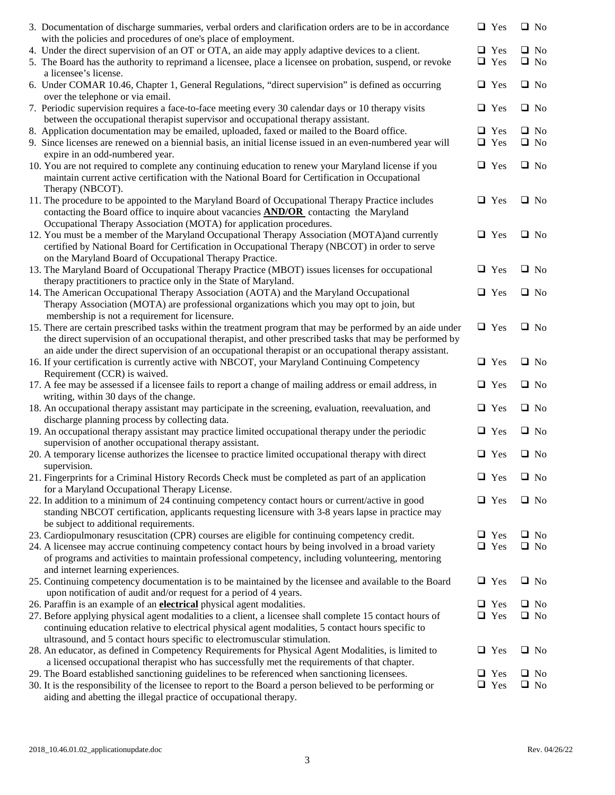| 3. Documentation of discharge summaries, verbal orders and clarification orders are to be in accordance<br>with the policies and procedures of one's place of employment.                                                                                                                        | $\Box$ Yes | $\Box$ No |
|--------------------------------------------------------------------------------------------------------------------------------------------------------------------------------------------------------------------------------------------------------------------------------------------------|------------|-----------|
| 4. Under the direct supervision of an OT or OTA, an aide may apply adaptive devices to a client.                                                                                                                                                                                                 | $\Box$ Yes | $\Box$ No |
| 5. The Board has the authority to reprimand a licensee, place a licensee on probation, suspend, or revoke<br>a licensee's license.                                                                                                                                                               | $\Box$ Yes | $\Box$ No |
| 6. Under COMAR 10.46, Chapter 1, General Regulations, "direct supervision" is defined as occurring<br>over the telephone or via email.                                                                                                                                                           | $\Box$ Yes | $\Box$ No |
| 7. Periodic supervision requires a face-to-face meeting every 30 calendar days or 10 therapy visits<br>between the occupational therapist supervisor and occupational therapy assistant.                                                                                                         | $\Box$ Yes | $\Box$ No |
| 8. Application documentation may be emailed, uploaded, faxed or mailed to the Board office.                                                                                                                                                                                                      | $\Box$ Yes | $\Box$ No |
| 9. Since licenses are renewed on a biennial basis, an initial license issued in an even-numbered year will                                                                                                                                                                                       | $\Box$ Yes | $\Box$ No |
| expire in an odd-numbered year.                                                                                                                                                                                                                                                                  |            |           |
| 10. You are not required to complete any continuing education to renew your Maryland license if you<br>maintain current active certification with the National Board for Certification in Occupational<br>Therapy (NBCOT).                                                                       | $\Box$ Yes | $\Box$ No |
| 11. The procedure to be appointed to the Maryland Board of Occupational Therapy Practice includes<br>contacting the Board office to inquire about vacancies <b>AND/OR</b> contacting the Maryland<br>Occupational Therapy Association (MOTA) for application procedures.                         | $\Box$ Yes | $\Box$ No |
| 12. You must be a member of the Maryland Occupational Therapy Association (MOTA)and currently<br>certified by National Board for Certification in Occupational Therapy (NBCOT) in order to serve                                                                                                 | $\Box$ Yes | $\Box$ No |
| on the Maryland Board of Occupational Therapy Practice.<br>13. The Maryland Board of Occupational Therapy Practice (MBOT) issues licenses for occupational                                                                                                                                       | $\Box$ Yes | $\Box$ No |
| therapy practitioners to practice only in the State of Maryland.                                                                                                                                                                                                                                 |            |           |
| 14. The American Occupational Therapy Association (AOTA) and the Maryland Occupational<br>Therapy Association (MOTA) are professional organizations which you may opt to join, but<br>membership is not a requirement for licensure.                                                             | $\Box$ Yes | $\Box$ No |
| 15. There are certain prescribed tasks within the treatment program that may be performed by an aide under<br>the direct supervision of an occupational therapist, and other prescribed tasks that may be performed by                                                                           | $\Box$ Yes | $\Box$ No |
| an aide under the direct supervision of an occupational therapist or an occupational therapy assistant.<br>16. If your certification is currently active with NBCOT, your Maryland Continuing Competency<br>Requirement (CCR) is waived.                                                         | $\Box$ Yes | $\Box$ No |
| 17. A fee may be assessed if a licensee fails to report a change of mailing address or email address, in                                                                                                                                                                                         | $\Box$ Yes | $\Box$ No |
| writing, within 30 days of the change.<br>18. An occupational therapy assistant may participate in the screening, evaluation, reevaluation, and                                                                                                                                                  | $\Box$ Yes | $\Box$ No |
| discharge planning process by collecting data.<br>19. An occupational therapy assistant may practice limited occupational therapy under the periodic                                                                                                                                             | $\Box$ Yes | $\Box$ No |
| supervision of another occupational therapy assistant.<br>20. A temporary license authorizes the licensee to practice limited occupational therapy with direct                                                                                                                                   | $\Box$ Yes | $\Box$ No |
| supervision.<br>21. Fingerprints for a Criminal History Records Check must be completed as part of an application                                                                                                                                                                                | $\Box$ Yes | $\Box$ No |
| for a Maryland Occupational Therapy License.<br>22. In addition to a minimum of 24 continuing competency contact hours or current/active in good<br>standing NBCOT certification, applicants requesting licensure with 3-8 years lapse in practice may<br>be subject to additional requirements. | $\Box$ Yes | $\Box$ No |
| 23. Cardiopulmonary resuscitation (CPR) courses are eligible for continuing competency credit.                                                                                                                                                                                                   | $\Box$ Yes | $\Box$ No |
| 24. A licensee may accrue continuing competency contact hours by being involved in a broad variety                                                                                                                                                                                               | $\Box$ Yes | $\Box$ No |
| of programs and activities to maintain professional competency, including volunteering, mentoring<br>and internet learning experiences.                                                                                                                                                          |            |           |
| 25. Continuing competency documentation is to be maintained by the licensee and available to the Board<br>upon notification of audit and/or request for a period of 4 years.                                                                                                                     | $\Box$ Yes | $\Box$ No |
| 26. Paraffin is an example of an <b>electrical</b> physical agent modalities.                                                                                                                                                                                                                    | $\Box$ Yes | $\Box$ No |
| 27. Before applying physical agent modalities to a client, a licensee shall complete 15 contact hours of                                                                                                                                                                                         | $\Box$ Yes | $\Box$ No |
| continuing education relative to electrical physical agent modalities, 5 contact hours specific to<br>ultrasound, and 5 contact hours specific to electromuscular stimulation.                                                                                                                   |            |           |
|                                                                                                                                                                                                                                                                                                  |            | $\Box$ No |
| 28. An educator, as defined in Competency Requirements for Physical Agent Modalities, is limited to<br>a licensed occupational therapist who has successfully met the requirements of that chapter.                                                                                              | $\Box$ Yes |           |
| 29. The Board established sanctioning guidelines to be referenced when sanctioning licensees.                                                                                                                                                                                                    | $\Box$ Yes | $\Box$ No |
| 30. It is the responsibility of the licensee to report to the Board a person believed to be performing or<br>aiding and abetting the illegal practice of occupational therapy.                                                                                                                   | $\Box$ Yes | $\Box$ No |